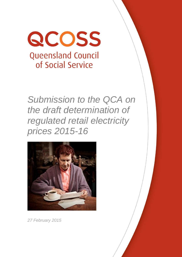

*Submission to the QCA on the draft determination of regulated retail electricity prices 2015-16*



*27 February 2015*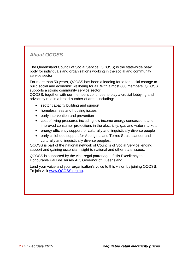# *About QCOSS*

The Queensland Council of Social Service (QCOSS) is the state-wide peak body for individuals and organisations working in the social and community service sector.

For more than 50 years, QCOSS has been a leading force for social change to build social and economic wellbeing for all. With almost 600 members, QCOSS supports a strong community service sector.

QCOSS, together with our members continues to play a crucial lobbying and advocacy role in a broad number of areas including:

- sector capacity building and support
- homelessness and housing issues
- early intervention and prevention
- cost of living pressures including low income energy concessions and improved consumer protections in the electricity, gas and water markets
- energy efficiency support for culturally and linguistically diverse people
- early childhood support for Aboriginal and Torres Strait Islander and culturally and linguistically diverse peoples.

QCOSS is part of the national network of Councils of Social Service lending support and gaining essential insight to national and other state issues.

QCOSS is supported by the vice-regal patronage of His Excellency the Honourable Paul de Jersey AC**,** [Governor of Queensland](http://www.govhouse.qld.gov.au/)**.**

Lend your voice and your organisation's voice to this vision by joining QCOSS. To join visit [www.QCOSS.org.au.](http://www.qcoss.org.au/)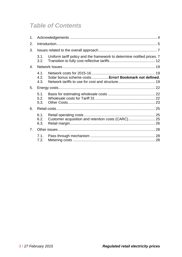# *Table of Contents*

| 1.             |                      |                                                                         |  |
|----------------|----------------------|-------------------------------------------------------------------------|--|
| 2.             |                      |                                                                         |  |
| 3.             |                      |                                                                         |  |
|                | 3.1.<br>3.2.         | Uniform tariff policy and the framework to determine notified prices. 7 |  |
| 4.             |                      |                                                                         |  |
|                | 4.1.<br>4.2.<br>4.3. | Solar bonus scheme costs Error! Bookmark not defined.                   |  |
| 5.             |                      |                                                                         |  |
|                | 5.1.<br>5.2.<br>5.3. |                                                                         |  |
| 6.             |                      |                                                                         |  |
|                | 6.1.<br>6.2.<br>6.3. | Customer acquisition and retention costs (CARC) 25                      |  |
| 7 <sub>1</sub> |                      |                                                                         |  |
|                | 7.1.                 |                                                                         |  |
|                | 7.2.                 |                                                                         |  |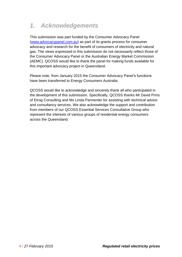# <span id="page-3-0"></span>*1. Acknowledgements*

This submission was part funded by the Consumer Advocacy Panel [\(www.advocacypanel.com.au\)](http://www.advocacypanel.com.au/) as part of its grants process for consumer advocacy and research for the benefit of consumers of electricity and natural gas. The views expressed in this submission do not necessarily reflect those of the Consumer Advocacy Panel or the Australian Energy Market Commission (AEMC). QCOSS would like to thank the panel for making funds available for this important advocacy project in Queensland.

Please note, from January 2015 the Consumer Advocacy Panel's functions have been transferred to Energy Consumers Australia.

QCOSS would like to acknowledge and sincerely thank all who participated in the development of this submission. Specifically, QCOSS thanks Mr David Prins of Etrog Consulting and Ms Linda Parmenter for assisting with technical advice and consultancy services. We also acknowledge the support and contribution from members of our QCOSS Essential Services Consultative Group who represent the interests of various groups of residential energy consumers across the Queensland.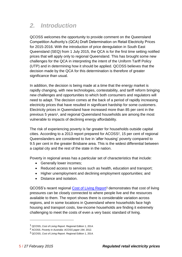# <span id="page-4-0"></span>*2. Introduction*

QCOSS welcomes the opportunity to provide comment on the Queensland Competition Authority's (QCA) Draft Determination on Retail Electricity Prices for 2015-2016. With the introduction of price deregulation in South East Queensland (SEQ) from 1 July 2015, the QCA is for the first time setting notified prices that will apply only to regional Queensland. This has brought some new challenges for the QCA in interpreting the intent of the Uniform Tariff Policy (UTP) and in determining how it should be applied. QCOSS believes that the decision made by the QCA for this determination is therefore of greater significance than usual.

In addition, the decision is being made at a time that the energy market is rapidly changing, with new technologies, contestability, and tariff reform bringing new challenges and opportunities to which both consumers and regulators will need to adapt. The decision comes at the back of a period of rapidly increasing electricity prices that have resulted in significant hardship for some customers. Electricity prices in Queensland have increased more than 85 per cent in the previous 5 years<sup>1</sup>, and regional Queensland households are among the most vulnerable to impacts of declining energy affordability.

The risk of experiencing poverty is far greater for households outside capital cities. According to a 2013 report prepared for ACOSS2, 15 per cent of regional Queenslanders are considered to live in 'after housing' poverty compared to 9.5 per cent in the greater Brisbane area. This is the widest differential between a capital city and the rest of the state in the nation.

Poverty in regional areas has a particular set of characteristics that include:

- Generally lower incomes;
- Reduced access to services such as health, education and transport;
- Higher unemployment and declining employment opportunities; and
- Distance and isolation

QCOSS's recent regional [Cost of Living Report](https://www.qcoss.org.au/sites/default/files/20141215_CoL_Report_Regional_FINAL.pdf)<sup>3</sup> demonstrates that cost of living pressures can be closely connected to where people live and the resources available to them. The report shows there is considerable variation across regions, and in some locations in Queensland where households face high housing and transport costs, low-income households are finding it extremely challenging to meet the costs of even a very basic standard of living.

<sup>1</sup> QCOSS, *Cost of Living Report.* Regional Edition 1, 2014.

<sup>2</sup> ACOSS. *Poverty in Australia: ACOSS paper 194*, 2012.

<sup>3</sup> QCOSS, *Cost of Living Report*. Regional Edition 1, 2014.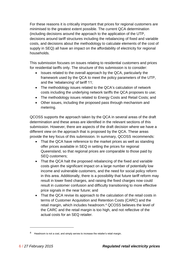For these reasons it is critically important that prices for regional customers are minimised to the greatest extent possible. The current QCA determination (including decisions around the approach to the application of the UTP, decisions around tariff structures including the rebalancing of fixed and variable costs, and decisions about the methodology to calculate elements of the cost of supply in SEQ) all have an impact on the affordability of electricity for regional households.

This submission focuses on issues relating to residential customers and prices for residential tariffs only. The structure of this submission is to consider:

- Issues related to the overall approach by the QCA, particularly the framework used by the QCA to meet the policy parameters of the UTP, and the 'rebalancing' of tariff 11;
- The methodology issues related to the QCA's calculation of network costs including the underlying network tariffs the QCA proposes to use;
- The methodology issues related to Energy Costs and Retail Costs; and
- Other issues, including the proposed pass through mechanism and metering.

QCOSS supports the approach taken by the QCA in several areas of the draft determination and these areas are identified in the relevant sections of this submission. However, there are aspects of the draft decision where we have a different view on the approach that is proposed by the QCA. These areas provide the key focus of this submission. In summary, QCOSS recommends:

- That the QCA have reference to the market prices as well as standing offer prices available in SEQ in setting the prices for regional Queensland, so that regional prices are comparable to those paid by SEQ customers;
- That the QCA halt the proposed rebalancing of the fixed and variable costs given the significant impact on a large number of potentially low income and vulnerable customers, and the need for social policy reform in this area. Additionally, there is a possibility that future tariff reform may result in lower fixed charges, and raising the fixed charges now could result in customer confusion and difficulty transitioning to more effective price signals in the near future; and
- That the QCA revise its approach to the calculation of the retail costs in terms of Customer Acquisition and Retention Costs (CARC) and the retail margin, which includes headroom.<sup>4</sup> QCOSS believes the level of the CARC and the retail margin is too high, and not reflective of the actual costs for an SEQ retailer.

Headroom is not a cost, and simply serves to increase the retailer's retail margin.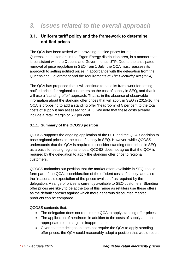# <span id="page-6-0"></span>*3. Issues related to the overall approach*

### <span id="page-6-1"></span>**3.1. Uniform tariff policy and the framework to determine notified prices**

The QCA has been tasked with providing notified prices for regional Queensland customers in the Ergon Energy distribution area, in a manner that is consistent with the Queensland Government's UTP. Due to the anticipated removal of price regulation in SEQ from 1 July, the QCA must reassess its approach to setting notified prices in accordance with the delegation from the Queensland Government and the requirements of *The Electricity Act (1994)*.

The QCA has proposed that it will continue to base its framework for setting notified prices for regional customers on the cost of supply in SEQ, and that it will use a 'standing offer' approach. That is, in the absence of observable information about the standing offer prices that will apply in SEQ in 2015‐16, the QCA is proposing to add a standing offer "headroom" of 5 per cent to the total costs of supply it has assessed for SEQ. We note that these costs already include a retail margin of 5.7 per cent.

#### **3.1.1. Summary of the QCOSS position**

QCOSS supports the ongoing application of the UTP and the QCA's decision to base regional prices on the cost of supply in SEQ. However, while QCOSS understands that the QCA is required to consider standing offer prices in SEQ as a basis for setting regional prices, QCOSS does not agree that the QCA is required by the delegation to apply the standing offer price to regional customers.

QCOSS maintains our position that the market offers available in SEQ should form part of the QCA's consideration of the efficient costs of supply, and also the "reasonable expectation of the prices available" as required by the delegation. A range of prices is currently available to SEQ customers. Standing offer prices are likely to be at the top of this range as retailers use these offers as the default contract against which more generous discounted market products can be compared.

QCOSS contends that:

- The delegation does not require the QCA to apply standing offer prices;
- The application of headroom in addition to the costs of supply and an appropriate retail margin is inappropriate;
- Given that the delegation does not require the QCA to apply standing offer prices, the QCA could reasonably adopt a position that would result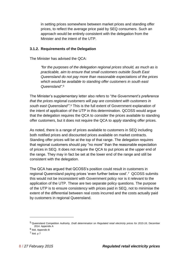in setting prices somewhere between market prices and standing offer prices, to reflect the average price paid by SEQ consumers. Such an approach would be entirely consistent with the delegation from the Minister and the intent of the UTP.

#### **3.1.2. Requirements of the Delegation**

The Minister has advised the QCA:

*"for the purposes of the delegation regional prices should, as much as is practicable, aim to ensure that small customers outside South East Queensland do not pay more than reasonable expectations of the prices which would be available to standing offer customers in south east Queensland". 5*

The Minister's supplementary letter also refers to "*the Government's preference that the prices regional customers will pay are consistent with customers in south east Queensland"'*. <sup>6</sup> This is the full extent of Government explanation of the intent of application of the UTP in this determination. QCOSS would argue that the delegation requires the QCA to *consider* the prices available to standing offer customers, but it does not require the QCA to *apply* standing offer prices.

As noted, there is a range of prices available to customers in SEQ including both notified prices and discounted prices available on market contracts. Standing offer prices will be at the top of that range. The delegation requires that regional customers should pay "no more" than the reasonable expectation of prices in SEQ. It does not require the QCA to put prices at the upper end of the range. They may in fact be set at the lower end of the range and still be consistent with the delegation.

The QCA has argued that QCOSS's position could result in customers in regional Queensland paying prices 'even further below cost'. <sup>7</sup> QCOSS submits this would not be inconsistent with Government policy nor is it relevant to the application of the UTP. These are two separate policy questions. The purpose of the UTP is to ensure consistency with prices paid in SEQ, not to minimise the extent of the differential between real costs incurred and the costs actually paid by customers in regional Queensland.

<sup>5</sup> Queensland Competition Authority. *Draft determination on Regulated retail electricity prices for 2015-16*, December 2014. Appendix A

<sup>6</sup> Ibid. Appendix B

 $<sup>7</sup>$  Ibid. p  $<sup>7</sup>$ </sup></sup>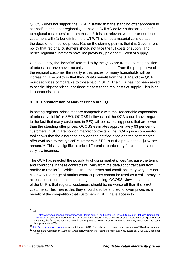QCOSS does not support the QCA in stating that the standing offer approach to set notified prices for regional Queensland "will *still* deliver substantial benefits to regional customers" (our emphasis). <sup>8</sup> It is not relevant whether or not these customers will *still* benefit from the UTP. This is not a material consideration in the decision on notified prices. Rather the starting point is that it is Government policy that regional customers should not face the full costs of supply, and hence regional customers have not previously paid the full cost of supply.

Consequently, the 'benefits' referred to by the QCA are from a starting position of prices that have never actually been contemplated. From the perspective of the regional customer the reality is that prices for many households will be increasing. The policy is that they *should* benefit from the UTP and the QCA must set prices comparable to those paid in SEQ. The QCA has not been asked to set the highest prices, nor those closest to the real costs of supply. This is an important distinction.

#### **3.1.3. Consideration of Market Prices in SEQ**

In setting regional prices that are comparable with the "reasonable expectation of prices available" in SEQ, QCOSS believes that the QCA should have regard to the fact that many customers in SEQ will be accessing prices that are lower than the standing offer prices. QCOSS estimates approximately 63 per cent of customers in SEQ are now on market contracts.<sup>9</sup> The QCA's price comparator tool shows that the difference between the notified price and the best market offer available to the 'typical' customers in SEQ is at the present time \$157 per annum.10 This is a significant price differential, particularly for customers on very low incomes.

The QCA has rejected the possibility of using market prices 'because the terms and conditions in these contracts will vary from the default contract and from retailer to retailer.'<sup>11</sup> While it is true that terms and conditions may vary, it is not clear why the range of market contract prices cannot be used as a valid proxy or at least be taken into account in regional pricing. QCOSS' view is that the intent of the UTP is that regional customers should be no worse off than the SEQ customers. This means that they should also be entitled to lower prices as a benefit of the competition that customers in SEQ have access to.

 $8$  Ibid.

<sup>9</sup> [http://www.qca.org.au/getattachment/d440b59c-c286-44e3-b892-fd201f4b4a55/Customer-Statistics-September-](http://www.qca.org.au/getattachment/d440b59c-c286-44e3-b892-fd201f4b4a55/Customer-Statistics-September-2014.aspx)[2014.aspx.](http://www.qca.org.au/getattachment/d440b59c-c286-44e3-b892-fd201f4b4a55/Customer-Statistics-September-2014.aspx) Accessed 1 March 2015. While this latest report refers to 45.2% of small customers being on market contracts, this figure includes customer in the Ergon area. When adjusted to include only SEQ customers, the result is approximately 63%.

<sup>10</sup> [http://comparator.qca.org.au.](http://comparator.qca.org.au/) Accessed 1 March 2015. Prices based on a customer consuming 4053kWh per annum

<sup>11</sup> Queensland Competition Authority. *Draft determination on Regulated retail electricity prices for 2015-16*, December 2014, p.7.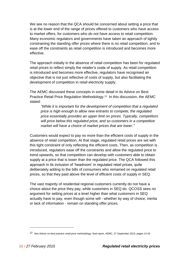We see no reason that the QCA should be concerned about setting a price that is at the lower end of the range of prices offered to customers who *have* access to market offers, for customers who *do not have* access to retail competition. Many economic regulators and governments have taken an approach of tightly constraining the standing offer prices where there is no retail competition, and to ease off the constraints as retail competition is introduced and becomes more effective.

The approach initially in the absence of retail competition has been for regulated retail prices to reflect simply the retailer's costs of supply. As retail competition is introduced and becomes more effective, regulators have recognised an objective that is not just reflective of costs of supply, but also facilitating the development of competition in retail electricity supply.

The AEMC discussed these concepts in some detail in its Advice on Best Practice Retail Price Regulation Methodology.12 In this discussion, the AEMC stated:

*"While it is important for the development of competition that a regulated price is high enough to allow new entrants to compete, the regulated price essentially provides an upper limit on prices. Typically, competitors will price below this regulated price, and so customers in a competitive market will have a choice of market prices that are lower."*

Customers would expect to pay no more than the efficient costs of supply in the absence of retail competition. At that stage, regulated retail prices are set with this tight constraint of only reflecting the efficient costs. Then, as competition is introduced, regulators ease off the constraints and allow the regulated price to trend upwards, so that competition can develop with customers able to obtain supply at a price that is lower than the regulated price. The QCA followed this approach in its inclusion of 'headroom' in regulated retail prices, quite deliberately adding to the bills of consumers who remained on regulated retail prices, so that they paid above the level of efficient costs of supply in SEQ.

The vast majority of residential regional customers currently do not have a choice about the price they pay, while customers in SEQ do. QCOSS sees no argument for setting prices at a level higher than what customers in SEQ actually have to pay, even though some will - whether by way of choice, inertia or lack of information - remain on standing offer prices.

<sup>12</sup> See *Advice on best practice retail price methodology*, final report, AEMC, 27 September 2013, pages 14-20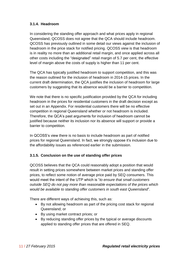#### **3.1.4. Headroom**

In considering the standing offer approach and what prices apply in regional Queensland, QCOSS does not agree that the QCA should include headroom. QCOSS has previously outlined in some detail our views against the inclusion of headroom in the price stack for notified pricing. QCOSS view is that headroom is in reality no more than an additional retail margin, and once applied across all other costs including the "designated" retail margin of 5.7 per cent, the effective level of margin above the costs of supply is higher than 11 per cent.

The QCA has typically justified headroom to support competition, and this was the reason outlined for the inclusion of headroom in 2014-15 prices. In the current draft determination, the QCA justifies the inclusion of headroom for large customers by suggesting that its absence would be a barrier to competition.

We note that there is no specific justification provided by the QCA for including headroom in the prices for residential customers in the draft decision except as set out in an Appendix. For residential customers there will be no effective competition in regional Queensland whether or not headroom is included. Therefore, the QCA's past arguments for inclusion of headroom cannot be justified because neither its inclusion nor its absence will support or provide a barrier to competition.

In QCOSS's view there is no basis to include headroom as part of notified prices for regional Queensland. In fact, we strongly oppose it's inclusion due to the affordability issues as referenced earlier in the submission.

#### **3.1.5. Conclusion on the use of standing offer prices**

QCOSS believes that the QCA could reasonably adopt a position that would result in setting prices somewhere between market prices and standing offer prices, to reflect some notion of average price paid by SEQ consumers. This would meet the intent of the UTP which is "*to ensure that small customers outside SEQ do not pay more than reasonable expectations of the prices which would be available to standing offer customers in south east Queensland*".

There are different ways of achieving this, such as:

- By not allowing headroom as part of the pricing cost stack for regional Queensland; or
- By using market contract prices; or
- By reducing standing offer prices by the typical or average discounts applied to standing offer prices that are offered in SEQ.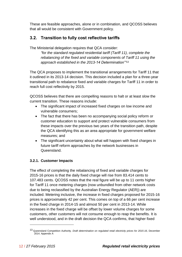These are feasible approaches, alone or in combination, and QCOSS believes that all would be consistent with Government policy.

## <span id="page-11-0"></span>**3.2. Transition to fully cost reflective tariffs**

The Ministerial delegation requires that QCA consider:

*"for the standard regulated residential tariff (Tariff 11), complete the rebalancing of the fixed and variable components of Tariff 11 using the approach established in the 2013-14 Determination"'* 13

The QCA proposes to implement the transitional arrangements for Tariff 11 that it outlined in its 2013-14 decision. This decision included a plan for a three-year transitional path to rebalance fixed and variable charges for Tariff 11 in order to reach full cost reflectivity by 2015.

QCOSS believes that there are compelling reasons to halt or at least slow the current transition. These reasons include:

- The significant impact of increased fixed charges on low income and vulnerable consumers;
- The fact that there has been no accompanying social policy reform or customer education to support and protect vulnerable consumers from these impacts over the previous two years of the transition path, despite the QCA identifying this as an area appropriate for government welfare measures; and
- The significant uncertainty about what will happen with fixed charges in future tariff reform approaches by the network businesses in Queensland.

### **3.2.1. Customer Impacts**

The effect of completing the rebalancing of fixed and variable charges for 2015-16 prices is that the daily fixed charge will rise from 83.414 cents to 107.483 cents. QCOSS notes that the real figure will be up to 11 cents higher for Tariff 11 once metering charges (now unbundled from other network costs due to being reclassified by the Australian Energy Regulator (AER)) are included. Metering inclusive, the increase in fixed charges proposed for 2015-16 prices is approximately 42 per cent. This comes on top of a 66 per cent increase in the fixed charge in 2014-15 and almost 50 per cent in 2013-14. While increases in the fixed charge will be offset by lower volume charges for some customers, other customers will not consume enough to reap the benefits. It is well understood, and in the draft decision the QCA confirms, that higher fixed

<sup>13</sup> Queensland Competition Authority. *Draft determination on regulated retail electricity prices for 2015-16*, December 2014. Appendix A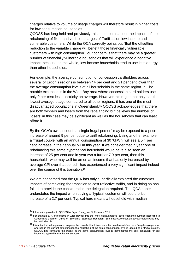charges relative to volume or usage charges will therefore result in higher costs for low consumption households.

QCOSS has long held and previously raised concerns about the impacts of the rebalancing of fixed and variable charges of Tariff 11 on low income and vulnerable customers. While the QCA correctly points out "that the offsetting reduction to the variable charge will benefit those financially vulnerable customers with high consumption", our concern is that there may be a greater number of financially vulnerable households that will experience a negative impact, because on the whole, low-income households tend to use less energy than other households.

For example, the average consumption of concession cardholders across several of Ergon's regions is between 14 per cent and 21 per cent lower than the average consumption levels of all households in the same region.14 The notable exception is in the Wide Bay area where concession card holders use only 9 per cent less electricity on average. However this region not only has the lowest average usage compared to all other regions, it has one of the most disadvantaged populations in Queensland. <sup>15</sup> QCOSS acknowledges that there are both winners and losers from the rebalancing but believes the number of 'losers' in this case may be significant as well as the households that can least afford it.

By the QCA's own account, a 'single frugal person' may be exposed to a price increase of around 9 per cent due to tariff rebalancing. Using another example, a 'frugal couple' with an annual consumption of 3070kWh, will see a 5.4 per cent increase in their annual bill in this year. If we consider that in year one of rebalancing this same hypothetical household would have also seen an increase of 25 per cent and in year two a further 7.9 per cent, then this household - who may well be an on an income that has only increased by average CPI over that period - has experienced a very significant impact indeed over the course of this transition.<sup>16</sup>

We are concerned that the QCA has only superficially explored the customer impacts of completing the transition to cost reflective tariffs, and in doing so has failed to provide the consideration the delegation required. The QCA paper understates the impact when saying a 'typical' customer will see a price increase of a 2.7 per cent. Typical here means a household with median

<sup>14</sup> Information provided to QCOSS by Ergon Energy on 27 February 2015

<sup>15</sup> For example 83% of residents in Wide Bay fall into the "most disadvantaged" socio economic quintiles according to Queensland's former Office of Economic Statistical Research. See http://www.oesr.qld.gov.au/regions/wide-bayburnett/index.php

<sup>&</sup>lt;sup>16</sup> It is noted that in the previous two years the household at this consumption level was defined as a "frugal single person', whereas in the current determination the household at the same consumption level is labeled as a "frugal couple". QCOSS has compared the impact at the same consumption level to demonstrate the cost escalation for any household type with a similar consumption.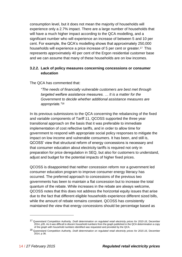consumption level, but it does not mean the majority of households will experience only a 2.7% impact. There are a large number of households that will have a much higher impact according to the QCA modelling, and a significant number who will experience an increase of between 5 and 10 per cent. For example, the QCA's modelling shows that approximately 250,000 households will experience a price increase of 5 per cent or greater.<sup>17</sup> This represents approximately 40 per cent of the Ergon residential customer base and we can assume that many of these households are on low incomes.

#### **3.2.2. Lack of policy measures concerning concessions or consumer education**

#### The QCA has commented that:

*"The needs of financially vulnerable customers are best met through targeted welfare assistance measures. … It is a matter for the Government to decide whether additional assistance measures are appropriate."*<sup>18</sup>

In its previous submissions to the QCA concerning the rebalancing of the fixed and variable components of Tariff 11, QCOSS supported the three year transitional approach on the basis that it was preferable to immediate implementation of cost reflective tariffs, and in order to allow time for government to respond with appropriate social policy responses to mitigate the impact on low income and vulnerable consumers. It has been, and still is, QCOSS' view that structural reform of energy concessions is necessary and that consumer education about electricity tariffs is required not only in preparation for price deregulation in SEQ, but also for customers to understand, adjust and budget for the potential impacts of higher fixed prices.

QCOSS is disappointed that neither concession reform nor a government led consumer education program to improve consumer energy literacy has occurred. The preferred approach to concessions of the previous two governments has been to maintain a flat concession but to increase the total quantum of the rebate. While increases in the rebate are always welcome, QCOSS notes that this does not address the horizontal equity issues that arise due to the fact that different eligible households experience different sized bills, while the amount of rebate remains constant. QCOSS has consistently maintained the view that energy concessions should be percentage based as

<sup>17</sup> Queensland Competition Authority. *Draft determination on regulated retail electricity prices for 2015-16*, December 2014, p35. As it was difficult to discern household numbers from the graph published in the QCA determination a copy of the graph with household numbers identified was requested and provided by the QCA.

<sup>18</sup> Queensland Competition Authority. *Draft determination on regulated retail electricity prices for 2015-16*, December 2014, p 36.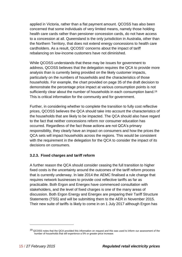applied in Victoria, rather than a flat payment amount. QCOSS has also been concerned that some individuals of very limited means, namely those holding health care cards rather than pensioner concession cards, do not have access to a concession at all. Queensland is the only jurisdiction in Australia, other than the Northern Territory, that does not extend energy concessions to health care cardholders. As a result, QCOSS' concerns about the impact of tariff rebalancing on low-income customers have not diminished.

While QCOSS understands that these may be issues for government to address, QCOSS believes that the delegation requires the QCA to provide more analysis than is currently being provided on the likely customer impacts, particularly on the numbers of households and the characteristics of those households. For example, the chart provided on page 35 of the draft decision to demonstrate the percentage price impact at various consumption points is not sufficiently clear about the number of households in each consumption band.<sup>19</sup> This is critical information for the community and for government.

Further, in considering whether to complete the transition to fully cost reflective prices, QCOSS believes the QCA should take into account the characteristics of the households that are likely to be impacted. The QCA should also have regard to the fact that neither concessions reform nor consumer education has occurred. Regardless of the fact those actions are not QCA's primary responsibility, they clearly have an impact on consumers and how the prices the QCA sets will impact households across the regions. This would be consistent with the requirement in the delegation for the QCA to consider the impact of its decisions on consumers.

#### **3.2.3. Fixed charges and tariff reform**

A further reason the QCA should consider ceasing the full transition to higher fixed costs is the uncertainty around the outcomes of the tariff reform process that is currently underway. In late 2014 the AEMC finalised a rule change that requires network businesses to provide cost reflective tariffs as far as practicable. Both Ergon and Energex have commenced consultation with stakeholders, and the level of fixed charges is one of the many areas of discussion. Both Ergon Energy and Energex are preparing their Tariff Structure Statements (TSS) and will be submitting them to the AER in November 2015. Their new suite of tariffs is likely to come in on 1 July 2017 although Ergon has

<sup>&</sup>lt;sup>19</sup> QCOSS notes that the QCA provided this information on request and this was used to inform our assessment of the number of households that will experience a 5% or greater price increase.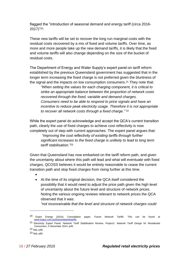flagged the "introduction of seasonal demand and energy tariff (circa 2016- 2017)" <sup>20</sup>.

These new tariffs will be set to recover the long run marginal costs with the residual costs recovered by a mix of fixed and volume tariffs. Over time, as more and more people take up the new demand tariffs, it is likely that the fixed and volume tariffs will also change depending on the size of the bucket of residual costs.

The Department of Energy and Water Supply's expert panel on tariff reform established by the previous Queensland government has suggested that in the longer term increasing the fixed charge is not preferred given the bluntness of the signal and the impacts on low consumption consumers. <sup>21</sup> They note that:

*"When setting the values for each charging component, it is critical to strike an appropriate balance between the proportion of network costs recovered through the fixed, variable and demand charges. Consumers need to be able to respond to price signals and have an incentive to reduce peak electricity usage. Therefore it is not appropriate to recover all network costs through a fixed charge."* 22

While the expert panel do acknowledge and accept the QCA's current transition path, clearly the use of fixed charges to achieve cost reflectivity is now completely out of step with current approaches. The expert panel argues that: *"improving the cost reflectivity of existing tariffs through further significant increases to the fixed charge is unlikely to lead to long term tariff stabilisation."* 23

Given that Queensland has now embarked on the tariff reform path, and given the uncertainty about where this path will lead and what will eventuate with fixed charges, QCOSS believes it would be entirely reasonable to cease the current transition path and stop fixed charges from rising further at this time.

- $\bullet$
- At the time of its original decision, the QCA itself considered the possibility that it would need to adjust the price path given the high level of uncertainty about the future level and structure of network prices. Noting the various ongoing reviews relevant to network prices the QCA observed that it was:

*"not inconceivable that the level and structure of network charges could* 

<sup>20</sup> Ergon Energy (2014), Consultation paper, *Future Network Tariffs*. This can be found at [www.ergon.com.au/futurenetworktariffs](http://www.ergon.com.au/futurenetworktariffs)

<sup>21</sup> Electricity Expert Panel. Network Tariff Stabilisation Review. *Project1: Network Tariff Design for Residential Consumers*, 5 December 2014, p49.

<sup>22</sup> Ibid, p48.

<sup>23</sup> Ibid, p65.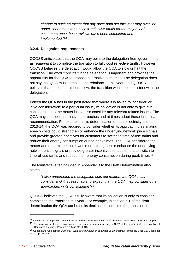*change to such an extent that any price path set this year may over- or under-shoot the eventual cost-reflective tariffs for the majority of customers once these reviews have been completed and implemented."<sup>24</sup>*

#### **3.2.4. Delegation requirements**

QCOSS anticipates that the QCA may point to the delegation from government as *requiring* it to complete the transition to fully cost reflective tariffs. However QCOSS believes the delegation would allow the QCA to slow or halt the transition. The word *'consider'* in the delegation is important and provides the opportunity for the QCA to propose alternative outcomes. The delegation does not say that QCA must complete the rebalancing this year, and QCOSS believes that to stop, or at least slow, the transition would be consistent with the delegation.

Indeed the QCA has in the past noted that where it is asked to 'consider' or 'give consideration' to a particular issue, its obligation is not only to give due consideration to the matter but to also consider any relevant related issues. The QCA may consider alternative approaches and at times adopt these in its final recommendation. For example, in its determination of retail electricity prices for 2013-14, the QCA was required to consider whether its approach to estimating energy costs could strengthen or enhance the underlying network price signals and provide greater incentives for customers to switch to time-of-use tariffs and reduce their energy consumption during peak times. The QCA considered the matter and determined that it would not strengthen or enhance the underlying network price signals or provide greater incentives for customers to switch to time-of-use tariffs and reduce their energy consumption during peak times.<sup>25</sup>

The Minister's letter included in Appendix B to the Draft Determination also states:

*"I also understand the delegation sets out matters the QCA must consider and it is reasonable to expect that the QCA may consider other approaches in its consultation"'* 26

QCOSS believes the QCA is fully aware that its obligation is only to consider completing the transition this year. For example, in section 7.1 of the draft determination the QCA attributes its decision to complete the transition to the

<sup>24</sup> Queensland Competition Authority. *Final determination. Regulated retail electricity prices 2013-14*, May 2013, p 90.

<sup>&</sup>lt;sup>25</sup> The reasons for this determination were set out in discussion on pages 31-32 of the QCA's Final Determination of Regulated Electricity Prices 2013-14 in May 2013.

<sup>26</sup> Queensland Competition Authority. *Draft determination on regulated retail electricity prices for 2015-16*, December 2014. Appendix B.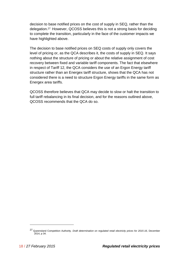decision to base notified prices on the cost of supply in SEQ, rather than the delegation.<sup>27</sup> However, QCOSS believes this is not a strong basis for deciding to complete the transition, particularly in the face of the customer impacts we have highlighted above.

The decision to base notified prices on SEQ costs of supply only covers the level of pricing or, as the QCA describes it, the costs of supply in SEQ. It says nothing about the structure of pricing or about the relative assignment of cost recovery between fixed and variable tariff components. The fact that elsewhere in respect of Tariff 12, the QCA considers the use of an Ergon Energy tariff structure rather than an Energex tariff structure, shows that the QCA has not considered there is a need to structure Ergon Energy tariffs in the same form as Energex area tariffs.

QCOSS therefore believes that QCA may decide to slow or halt the transition to full tariff rebalancing in its final decision, and for the reasons outlined above, QCOSS recommends that the QCA do so.

<sup>27</sup> Queensland Competition Authority. *Draft determination on regulated retail electricity prices for 2015-16*, December 2014, p 34.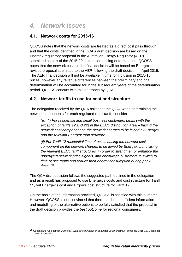# <span id="page-18-0"></span>*4. Network Issues*

## <span id="page-18-1"></span>**4.1. Network costs for 2015-16**

QCOSS notes that the network costs are treated as a direct cost pass through, and that the costs identified in the QCA's draft decision are based on the Energex regulatory proposal to the Australian Energy Regulator (AER) submitted as part of the 2015-20 distribution pricing determination. QCOSS notes that the network costs in the final decision will be based on Energex's revised proposal submitted to the AER following the draft decision in April 2015. The AER final decision will not be available in time for inclusion in 2015-16 prices, however any revenue differences between the preliminary and final determination will be accounted for in the subsequent years of the determination period. QCOSS concurs with this approach by QCA.

### <span id="page-18-2"></span>**4.2. Network tariffs to use for cost and structure**

The delegation received by the QCA asks that the QCA, when determining the network components for each regulated retail tariff, consider:

*"(d) (i) For residential and small business customers tariffs (with the exception of tariffs 12 and 22) in the EECL distribution area – basing the network cost component on the network charges to be levied by Energex and the relevant Energex tariff structure:* 

*(ii) For Tariff 12 residential time of use… basing the network cost component on the network charges to be levied by Energex, but utilising the relevant EECL tariff structures, in order to strengthen or enhance the underlying network price signals, and encourage customers to switch to time of use tariffs and reduce their energy consumption during peak times."*<sup>28</sup>

The QCA draft decision follows the suggested path outlined in the delegation and as a result has proposed to use Energex's costs and cost structure for Tariff 11, but Energex's cost and Ergon's cost structure for Tariff 12.

On the basis of the information provided, QCOSS is satisfied with this outcome. However, QCOSS is not convinced that there has been sufficient information and modelling of the alternative options to be fully satisfied that the proposal in the draft decision provides the *best outcome* for regional consumers.

<sup>28</sup> Queensland Competition Authority. *Draft determination on regulated retail electricity prices for 2015-16*, December 2014. Appendix A.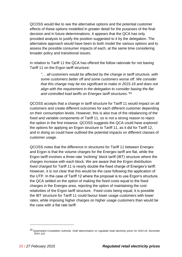QCOSS would like to see the alternative options and the potential customer effects of these options modelled in greater detail for the purposes of the final decision and in future determinations. It appears that the QCA has only provided analysis to justify the position suggested to it by the delegation. The alternative approach would have been to both model the various options and to assess the possible consumer impacts of each, at the same time considering broader policy and transitional issues.

In relation to Tariff 11 the QCA has offered the follow rationale for not basing Tariff 11 on the Ergon tariff structure:

*"… all customers would be affected by the change in tariff structure, with some customers better off and some customers worse off. We consider that this change may be too significant to make in 2015-16 and does not align with the requirement in the delegation to consider basing the flat and controlled load tariffs on Energex tariff structures."* 29

QCOSS accepts that a change in tariff structure for Tariff 11 would impact on all customers and create different outcomes for each different customer depending on their consumption levels. However, this is also true of the rebalancing of the fixed and variable components of Tariff 11, so is not a strong reason to reject the option in the first instance. QCOSS suggests the QCA could have explored the options for applying an Ergon structure to Tariff 11, as it did for Tariff 12, and in doing so could have outlined the potential impacts on different classes of customer usage.

QCOSS notes that the difference in structures for Tariff 11 between Energex and Ergon is that the volume charges for the Energex tariff are flat, while the Ergon tariff involves a three-rate 'inclining' block tariff (IBT) structure where the charges increase with each block. We are aware that the Ergon distribution fixed charged for Tariff 11 is nearly double the fixed charge of Energex's tariff. However, it is not clear that this would be the case following the application of the UTP. In the case of Tariff 12 where the proposal is to use Ergon's structure, the QCA settled on the option of making the fixed costs equal to the fixed charges in the Energex area, rejecting the option of maintaining the cost relativities of the Ergon tariff structure. Fixed costs being equal, it is possible the IBT structure for Tariff 11 could favour lower usage customers with lower rates, while imposing higher charges on higher usage customers than would be the case with a flat rate tariff.

<sup>29</sup> Queensland Competition Authority. *Draft determination on regulated retail electricity prices for 2015-16*, December 2014, p12.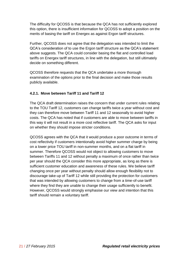The difficulty for QCOSS is that because the QCA has not sufficiently explored this option, there is insufficient information for QCOSS to adopt a position on the merits of basing the tariff on Energex as against Ergon tariff structures.

Further, QCOSS does not agree that the delegation was intended to limit the QCA's consideration of to use the Ergon tariff structure as the QCA's statement above suggests. The QCA could consider basing the flat and controlled load tariffs on Energex tariff structures, in line with the delegation, but still ultimately decide on something different.

QCOSS therefore requests that the QCA undertake a more thorough examination of the options prior to the final decision and make those results publicly available.

#### **4.2.1. Move between Tariff 11 and Tariff 12**

The QCA draft determination raises the concern that under current rules relating to the TOU Tariff 12, customers can change tariffs twice a year without cost and they can therefore move between Tariff 11 and 12 seasonally to avoid higher costs. The QCA has noted that if customers are able to move between tariffs in this way it will not result in a more cost reflective tariff. The QCA asks for input on whether they should impose stricter conditions.

QCOSS agrees with the QCA that it would produce a poor outcome in terms of cost reflectivity if customers intentionally avoid higher summer charge by being on a lower price TOU tariff in non-summer months, and on a flat tariff in summer. Therefore QCOSS would not object to allowing customers to move between Tariffs 11 and 12 without penalty a maximum of once rather than twice per year should the QCA consider this more appropriate, as long as there is sufficient customer education and awareness of these rules. We believe tariff changing once per year without penalty should allow enough flexibility not to discourage take-up of Tariff 12 while still providing the protection for customers that was intended by allowing customers to change from a time-of-use tariff where they find they are unable to change their usage sufficiently to benefit. However, QCOSS would strongly emphasise our view and intention that this tariff should remain a voluntary tariff.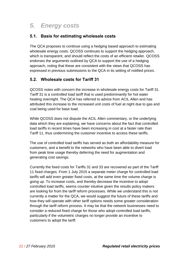# <span id="page-21-0"></span>*5. Energy costs*

### <span id="page-21-1"></span>**5.1. Basis for estimating wholesale costs**

The QCA proposes to continue using a hedging based approach to estimating wholesale energy costs. QCOSS continues to support the hedging approach, which is transparent, and should reflect the costs of an efficient retailer. QCOSS endorses the arguments outlined by QCA to support the use of a hedging approach, noting that these are consistent with the views that QCOSS has expressed in previous submissions to the QCA in its setting of notified prices.

### <span id="page-21-2"></span>**5.2. Wholesale costs for Tariff 31**

QCOSS notes with concern the increase in wholesale energy costs for Tariff 31. Tariff 31 is a controlled load tariff that is used predominantly for hot water heating overnight. The QCA has referred to advice from ACIL Allen and has attributed this increase to the increased unit costs of fuel at night due to gas and coal being used for base load.

While QCOSS does not dispute the ACIL Allen commentary, or the underlying data which they are explaining, we have concerns about the fact that controlled load tariffs in recent times have been increasing in cost at a faster rate than Tariff 11, thus undermining the customer incentive to access these tariffs.

The use of controlled load tariffs has served as both an affordability measure for customers, and a benefit to the networks who have been able to divert load from peak time usage thereby deferring the need for augmentation and generating cost savings.

Currently the fixed costs for Tariffs 31 and 33 are recovered as part of the Tariff 11 fixed charges. From 1 July 2015 a separate meter charge for controlled load tariffs will add even greater fixed costs, at the same time the volume charge is going up. To increase costs, and thereby decrease the incentive to adopt controlled load tariffs, seems counter intuitive given the results policy makers are looking for from the tariff reform processes. While we understand this is not currently a matter for the QCA, we would suggest the future of these tariffs and how they will operate with other tariff options needs some greater consideration through the tariff reform process. It may be that the network businesses need to consider a reduced fixed charge for those who adopt controlled load tariffs, particularly if the volumetric charges no longer provide an incentive to customers to adopt the tariff.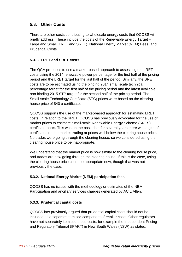### <span id="page-22-0"></span>**5.3. Other Costs**

There are other costs contributing to wholesale energy costs that QCOSS will briefly address. These include the costs of the Renewable Energy Target – Large and Small (LRET and SRET), National Energy Market (NEM) Fees, and Prudential Costs.

### **5.3.1. LRET and SRET costs**

The QCA proposes to use a market-based approach to assessing the LRET costs using the 2014 renewable power percentage for the first half of the pricing period and the LRET target for the last half of the period. Similarly, the SRET costs are to be estimated using the binding 2014 small scale technical percentage target for the first half of the pricing period and the latest available non binding 2015 STP target for the second half of the pricing period. The Small-scale Technology Certificate (STC) prices were based on the clearinghouse price of \$40 a certificate.

QCOSS supports the use of the market-based approach for estimating LRET costs. In relation to the SRET, QCOSS has previously advocated for the use of market prices to estimate Small-scale Renewable Energy Scheme (SRES) certificate costs. This was on the basis that for several years there was a glut of certificates on the market trading at prices well below the clearing house price. No trades were going through the clearing house, so we considered using the clearing house price to be inappropriate.

We understand that the market price is now similar to the clearing house price, and trades are now going through the clearing house. If this is the case, using the clearing house price could be appropriate now, though that was not previously the case.

#### **5.3.2. National Energy Market (NEM) participation fees**

QCOSS has no issues with the methodology or estimates of the NEM Participation and ancillary services charges generated by ACIL Allen.

### **5.3.3. Prudential capital costs**

QCOSS has previously argued that prudential capital costs should not be included as a separate itemised component of retailer costs. Other regulators have not separately itemised these costs, for example the Independent Pricing and Regulatory Tribunal (IPART) in New South Wales (NSW) as stated: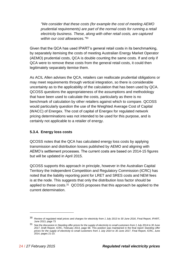*"We consider that these costs (for example the cost of meeting AEMO prudential requirements) are part of the normal costs for running a retail electricity business. These, along with other retail costs, are captured within our cost allowances."* 30

Given that the QCA has used IPART's general retail costs in its benchmarking, by separately itemising the costs of meeting Australian Energy Market Operator (AEMO) prudential costs, QCA is double counting the same costs. If and only if QCA were to remove these costs from the general retail costs, it could then legitimately separately itemise them.

As ACIL Allen advises the QCA, retailers can reallocate prudential obligations or may meet requirements through vertical integration, so there is considerable uncertainty as to the applicability of the calculation that has been used by QCA. QCOSS questions the appropriateness of the assumptions and methodology that have been used to calculate the costs, particularly as there is no benchmark of calculation by other retailers against which to compare. QCOSS would particularly question the use of the Weighted Average Cost of Capital (WACC) of Energex. The cost of capital of Energex for regulated network pricing determinations was not intended to be used for this purpose, and is certainly not applicable to a retailer of energy.

#### **5.3.4. Energy loss costs**

QCOSS notes that the QCA has calculated energy loss costs by applying transmission and distribution losses published by AEMO and aligning with AEMO's settlement processes. The current costs are based on 2014-15 figures but will be updated in April 2015.

QCOSS supports this approach in principle, however in the Australian Capital Territory the Independent Competition and Regulatory Commission (ICRC) has noted that the liability reporting point for LRET and SRES costs and NEM fees is at the node. This suggests that only the distribution loss factor should be applied to these costs.31 QCOSS proposes that this approach be applied to the current determination.

<sup>30</sup> *Review of regulated retail prices and charges for electricity from 1 July 2013 to 30 June 2016*, Final Report, IPART, June 2013, page 73

<sup>31</sup> See the discussion in *Standing offer prices for the supply of electricity to small customers from 1 July 2014 to 30 June 2017*, Draft Report, ICRC, February 2014, page 68. This position was maintained in the final report *Standing offer prices for the supply of electricity to small customers from 1 July 2014 to 30 June 2017*, Final Report, ICRC, June 2014, pages 21-23.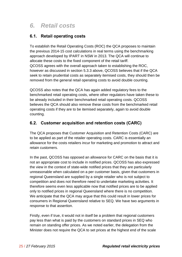# <span id="page-24-0"></span>*6. Retail costs*

## <span id="page-24-1"></span>**6.1. Retail operating costs**

To establish the Retail Operating Costs (ROC) the QCA proposes to maintain the previous 2014-15 cost calculations in real terms using the benchmarking approach developed by IPART in NSW in 2013. The QCA will continue to allocate these costs to the fixed component of the retail tariff. QCOSS agrees with the overall approach taken to establishing the ROC, however as discussed in section 5.3.3 above, QCOSS believes that if the QCA seek to retain prudential costs as separately itemised costs, they should then be removed from the general retail operating costs to avoid double counting.

QCOSS also notes that the QCA has again added regulatory fees to the benchmarked retail operating costs, where other regulators have taken these to be already included in their benchmarked retail operating costs. QCOSS believes the QCA should also remove these costs from the benchmarked retail operating costs if they are to be itemised separately, again to avoid double counting.

# <span id="page-24-2"></span>**6.2. Customer acquisition and retention costs (CARC)**

The QCA proposes that Customer Acquisition and Retention Costs (CARC) are to be applied as part of the retailer operating costs. CARC is essentially an allowance for the costs retailers incur for marketing and promotion to attract and retain customers.

In the past, QCOSS has opposed an allowance for CARC on the basis that it is not an appropriate cost to include in notified prices. QCOSS has also expressed the view in the context of state-wide notified prices that they are particularly unreasonable when calculated on a per customer basis, given that customers in regional Queensland are supplied by a single retailer who is not subject to competition and does not therefore need to undertake marketing activities. It therefore seems even less applicable now that notified prices are to be applied only to notified prices in regional Queensland where there is no competition. We anticipate that the QCA may argue that this could result in lower prices for consumers in Regional Queensland relative to SEQ. We have two arguments in response to that assertion.

Firstly, even if true, it would not in itself be a problem that regional customers pay less than what is paid by the customers on standard prices in SEQ who remain on standing offer prices. As we noted earlier, the delegation from the Minister does not require the QCA to set prices at the highest end of the scale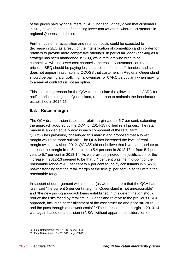of the prices paid by consumers in SEQ, nor should they given that customers in SEQ have the option of choosing lower market offers whereas customers in regional Queensland do not.

Further, customer acquisition and retention costs could be expected to decrease in SEQ as a result of the intensification of competition and in order for retailers to provide more competitive offerings. In particular, door knocking as a strategy has been abandoned in SEQ, while retailers who wish to be competitive will find lower cost channels. Increasingly customers on market prices in SEQ should be paying less as a result of these efficiencies, and so it does not appear reasonable to QCOSS that customers in Regional Queensland should be paying artificially high allowances for CARC particularly when moving to a market contracts is not an option.

This is a strong reason for the QCA to recalculate the allowances for CARC for notified prices in regional Queensland, rather than to maintain the benchmark established in 2014-15.

### <span id="page-25-0"></span>**6.3. Retail margin**

The QCA draft decision is to set a retail margin cost of 5.7 per cent, extending the approach adopted by the QCA for 2014-15 notified retail prices. The retail margin is applied equally across each component of the retail tariff. QCOSS has previously challenged this margin and proposed that a lower margin would be more suitable. The QCA has increased the level of retail margin twice now since 2012. QCOSS did not believe that it was appropriate to increase the margin from 5 per cent to 5.4 per cent in 2012-13 or from 5.4 per cent to 5.7 per cent in 2013-14. As we previously noted, the justification for the increase in 2012-13 seemed to be that 5.4 per cent was the mid-point of the reasonable range of 4.8 per cent to 6 per cent found by consultants in NSW32, notwithstanding that the retail margin at the time (5 per cent) also fell within the reasonable range.

In support of our argument we also note (as we noted then) that the QCA had itself said "the current 5 per cent margin in Queensland is not unreasonable" and "the new pricing approach being established in this determination should reduce the risks faced by retailers in Queensland relative to the previous BRCI approach, including better alignment of the cost structure and price structure and the pass through of network costs".<sup>33</sup> The increase in the margin in 2013-14 was again based on a decision in NSW, without apparent consideration of

<sup>32</sup> Final Determination for 2012-13, pages 74-75

<sup>33</sup> Final Determination for 2012-13, pages 74-75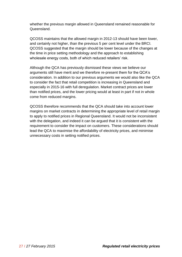whether the previous margin allowed in Queensland remained reasonable for Queensland.

QCOSS maintains that the allowed margin in 2012-13 should have been lower, and certainly not higher, than the previous 5 per cent level under the BRCI. QCOSS suggested that the margin should be lower because of the changes at the time in price setting methodology and the approach to establishing wholesale energy costs, both of which reduced retailers' risk.

Although the QCA has previously dismissed these views we believe our arguments still have merit and we therefore re-present them for the QCA's consideration. In addition to our previous arguments we would also like the QCA to consider the fact that retail competition is increasing in Queensland and especially in 2015-16 with full deregulation. Market contract prices are lower than notified prices, and the lower pricing would at least in part if not in whole come from reduced margins.

QCOSS therefore recommends that the QCA should take into account lower margins on market contracts in determining the appropriate level of retail margin to apply to notified prices in Regional Queensland. It would not be inconsistent with the delegation, and indeed it can be argued that it is consistent with the requirement to consider the impact on customers. These considerations should lead the QCA to maximise the affordability of electricity prices, and minimise unnecessary costs in setting notified prices.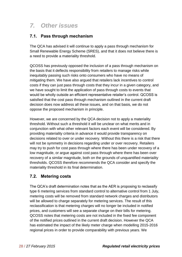# <span id="page-27-0"></span>*7. Other issues*

## <span id="page-27-1"></span>**7.1. Pass through mechanism**

The QCA has advised it will continue to apply a pass through mechanism for Small Renewable Energy Scheme (SRES), and that it does not believe there is a need to provide a materiality threshold.

QCOSS has previously opposed the inclusion of a pass through mechanism on the basis that it deflects responsibility from retailers to manage risks while inequitably passing such risks onto consumers who have no means of mitigating them. We have also argued that retailers lack incentives to control costs if they can just pass through costs that they incur in a given category, and we have sought to limit the application of pass through costs to events that would be wholly outside an efficient representative retailer's control. QCOSS is satisfied that the cost pass through mechanism outlined in the current draft decision does now address all these issues, and on that basis, we do not oppose the proposed mechanism in principle.

However, we are concerned by the QCA decision not to apply a materiality threshold. Without such a threshold it will be unclear on what merits and in conjunction with what other relevant factors each event will be considered. By providing materiality criteria in advance it would provide transparency on decisions related to over or under recovery. Without this there is a risk that there will not be symmetry in decisions regarding under or over recovery. Retailers may try to push for cost pass through where there has been under recovery of a low magnitude, or argue against cost pass through where there has been over recovery of a similar magnitude, both on the grounds of unquantified materiality thresholds. QCOSS therefore recommends the QCA consider and specify the materiality threshold in its final determination.

# <span id="page-27-2"></span>**7.2. Metering costs**

The QCA's draft determination notes that as the AER is proposing to reclassify type 6 metering services from standard control to alternative control from 1 July, metering costs will be removed from standard network charges and distributors will be allowed to charge separately for metering services. The result of this reclassification is that metering charges will no longer be included in notified prices, and customers will see a separate charge on their bills for metering. QCOSS notes that metering costs are not included in the fixed fee component of the notified prices outlined in the current draft decision. However the QCA has estimated the impact of the likely meter charge when modelling 2015-2016 regional prices in order to provide comparability with previous years. We